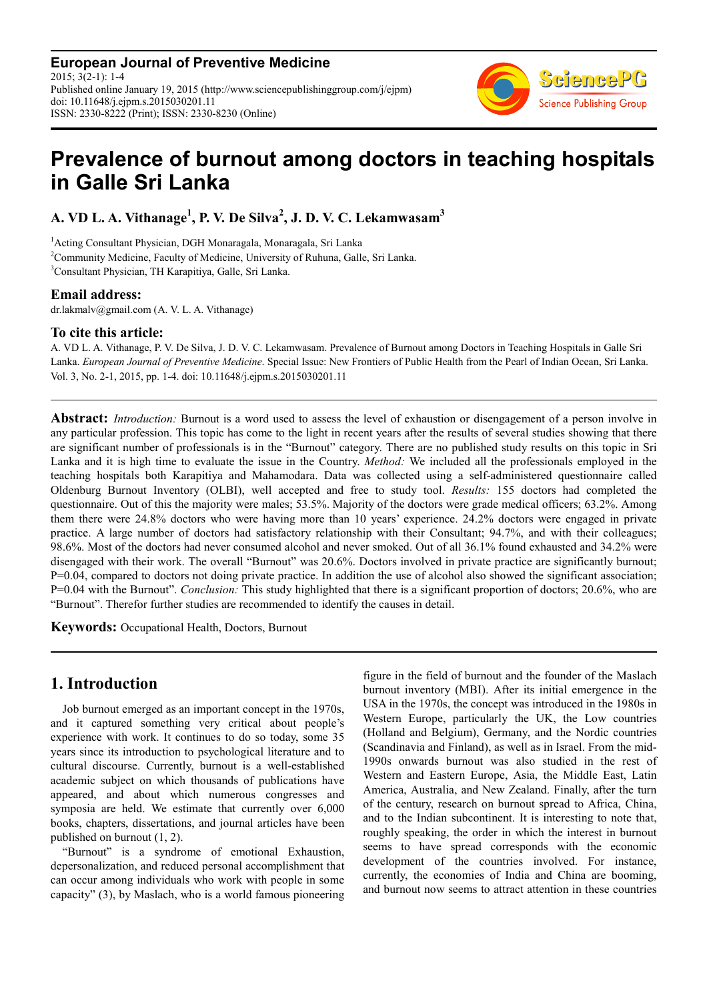**European Journal of Preventive Medicine**  $2015: 3(2-1): 1-4$ Published online January 19, 2015 (http://www.sciencepublishinggroup.com/j/ejpm) doi: 10.11648/j.ejpm.s.2015030201.11 ISSN: 2330-8222 (Print); ISSN: 2330-8230 (Online)



# **Prevalence of burnout among doctors in teaching hospitals in Galle Sri Lanka**

**A. VD L. A. Vithanage<sup>1</sup> , P. V. De Silva<sup>2</sup> , J. D. V. C. Lekamwasam<sup>3</sup>**

<sup>1</sup>Acting Consultant Physician, DGH Monaragala, Monaragala, Sri Lanka <sup>2</sup>Community Medicine, Faculty of Medicine, University of Ruhuna, Galle, Sri Lanka. <sup>3</sup>Consultant Physician, TH Karapitiya, Galle, Sri Lanka.

# **Email address:**

dr.lakmalv@gmail.com (A. V. L. A. Vithanage)

### **To cite this article:**

A. VD L. A. Vithanage, P. V. De Silva, J. D. V. C. Lekamwasam. Prevalence of Burnout among Doctors in Teaching Hospitals in Galle Sri Lanka. *European Journal of Preventive Medicine*. Special Issue: New Frontiers of Public Health from the Pearl of Indian Ocean, Sri Lanka. Vol. 3, No. 2-1, 2015, pp. 1-4. doi: 10.11648/j.ejpm.s.2015030201.11

**Abstract:** *Introduction:* Burnout is a word used to assess the level of exhaustion or disengagement of a person involve in any particular profession. This topic has come to the light in recent years after the results of several studies showing that there are significant number of professionals is in the "Burnout" category. There are no published study results on this topic in Sri Lanka and it is high time to evaluate the issue in the Country. *Method:* We included all the professionals employed in the teaching hospitals both Karapitiya and Mahamodara. Data was collected using a self-administered questionnaire called Oldenburg Burnout Inventory (OLBI), well accepted and free to study tool. *Results:* 155 doctors had completed the questionnaire. Out of this the majority were males; 53.5%. Majority of the doctors were grade medical officers; 63.2%. Among them there were 24.8% doctors who were having more than 10 years' experience. 24.2% doctors were engaged in private practice. A large number of doctors had satisfactory relationship with their Consultant; 94.7%, and with their colleagues; 98.6%. Most of the doctors had never consumed alcohol and never smoked. Out of all 36.1% found exhausted and 34.2% were disengaged with their work. The overall "Burnout" was 20.6%. Doctors involved in private practice are significantly burnout;  $P=0.04$ , compared to doctors not doing private practice. In addition the use of alcohol also showed the significant association; P=0.04 with the Burnout". *Conclusion:* This study highlighted that there is a significant proportion of doctors; 20.6%, who are "Burnout". Therefor further studies are recommended to identify the causes in detail.

**Keywords:** Occupational Health, Doctors, Burnout

# **1. Introduction**

Job burnout emerged as an important concept in the 1970s, and it captured something very critical about people's experience with work. It continues to do so today, some 35 years since its introduction to psychological literature and to cultural discourse. Currently, burnout is a well-established academic subject on which thousands of publications have appeared, and about which numerous congresses and symposia are held. We estimate that currently over 6,000 books, chapters, dissertations, and journal articles have been published on burnout (1, 2).

"Burnout" is a syndrome of emotional Exhaustion, depersonalization, and reduced personal accomplishment that can occur among individuals who work with people in some capacity" (3), by Maslach, who is a world famous pioneering figure in the field of burnout and the founder of the Maslach burnout inventory (MBI). After its initial emergence in the USA in the 1970s, the concept was introduced in the 1980s in Western Europe, particularly the UK, the Low countries (Holland and Belgium), Germany, and the Nordic countries (Scandinavia and Finland), as well as in Israel. From the mid-1990s onwards burnout was also studied in the rest of Western and Eastern Europe, Asia, the Middle East, Latin America, Australia, and New Zealand. Finally, after the turn of the century, research on burnout spread to Africa, China, and to the Indian subcontinent. It is interesting to note that, roughly speaking, the order in which the interest in burnout seems to have spread corresponds with the economic development of the countries involved. For instance, currently, the economies of India and China are booming, and burnout now seems to attract attention in these countries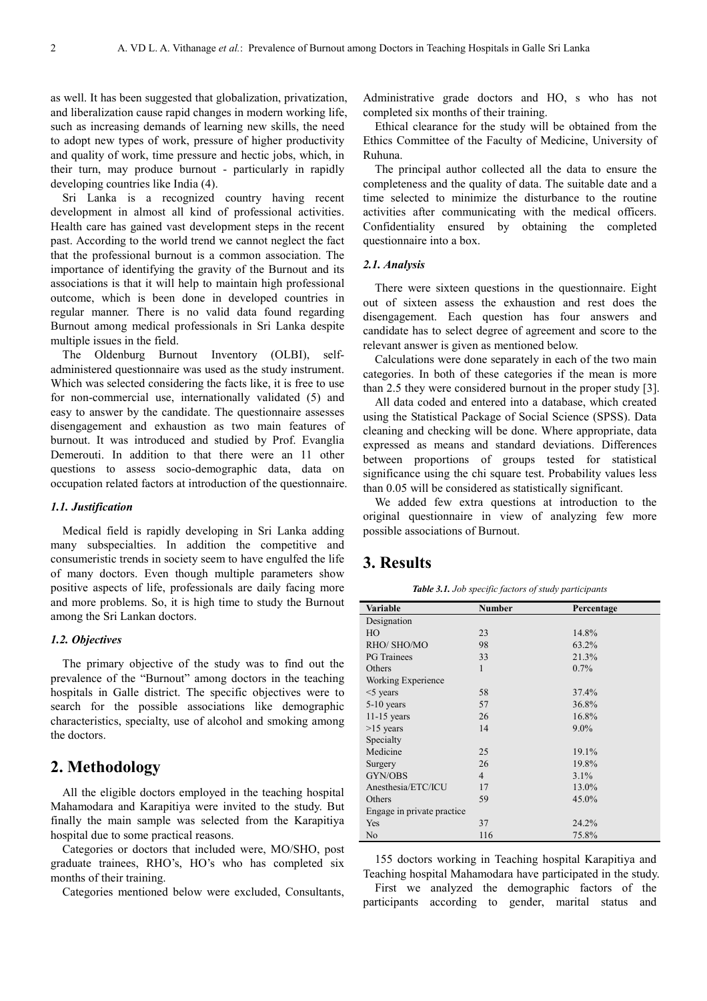as well. It has been suggested that globalization, privatization, and liberalization cause rapid changes in modern working life, such as increasing demands of learning new skills, the need to adopt new types of work, pressure of higher productivity and quality of work, time pressure and hectic jobs, which, in their turn, may produce burnout - particularly in rapidly developing countries like India (4).

Sri Lanka is a recognized country having recent development in almost all kind of professional activities. Health care has gained vast development steps in the recent past. According to the world trend we cannot neglect the fact that the professional burnout is a common association. The importance of identifying the gravity of the Burnout and its associations is that it will help to maintain high professional outcome, which is been done in developed countries in regular manner. There is no valid data found regarding Burnout among medical professionals in Sri Lanka despite multiple issues in the field.

The Oldenburg Burnout Inventory (OLBI), selfadministered questionnaire was used as the study instrument. Which was selected considering the facts like, it is free to use for non-commercial use, internationally validated (5) and easy to answer by the candidate. The questionnaire assesses disengagement and exhaustion as two main features of burnout. It was introduced and studied by Prof. Evanglia Demerouti. In addition to that there were an 11 other questions to assess socio-demographic data, data on occupation related factors at introduction of the questionnaire.

#### *1.1. Justification*

Medical field is rapidly developing in Sri Lanka adding many subspecialties. In addition the competitive and consumeristic trends in society seem to have engulfed the life of many doctors. Even though multiple parameters show positive aspects of life, professionals are daily facing more and more problems. So, it is high time to study the Burnout among the Sri Lankan doctors.

#### *1.2. Objectives*

The primary objective of the study was to find out the prevalence of the "Burnout" among doctors in the teaching hospitals in Galle district. The specific objectives were to search for the possible associations like demographic characteristics, specialty, use of alcohol and smoking among the doctors.

# **2. Methodology**

All the eligible doctors employed in the teaching hospital Mahamodara and Karapitiya were invited to the study. But finally the main sample was selected from the Karapitiya hospital due to some practical reasons.

Categories or doctors that included were, MO/SHO, post graduate trainees, RHO's, HO's who has completed six months of their training.

Categories mentioned below were excluded, Consultants,

Administrative grade doctors and HO, s who has not completed six months of their training.

Ethical clearance for the study will be obtained from the Ethics Committee of the Faculty of Medicine, University of Ruhuna.

The principal author collected all the data to ensure the completeness and the quality of data. The suitable date and a time selected to minimize the disturbance to the routine activities after communicating with the medical officers. Confidentiality ensured by obtaining the completed questionnaire into a box.

#### *2.1. Analysis*

There were sixteen questions in the questionnaire. Eight out of sixteen assess the exhaustion and rest does the disengagement. Each question has four answers and candidate has to select degree of agreement and score to the relevant answer is given as mentioned below.

Calculations were done separately in each of the two main categories. In both of these categories if the mean is more than 2.5 they were considered burnout in the proper study [3].

All data coded and entered into a database, which created using the Statistical Package of Social Science (SPSS). Data cleaning and checking will be done. Where appropriate, data expressed as means and standard deviations. Differences between proportions of groups tested for statistical significance using the chi square test. Probability values less than 0.05 will be considered as statistically significant.

We added few extra questions at introduction to the original questionnaire in view of analyzing few more possible associations of Burnout.

# **3. Results**

*Table 3.1. Job specific factors of study participants* 

| Variable                   | <b>Number</b>  | Percentage |  |
|----------------------------|----------------|------------|--|
| Designation                |                |            |  |
| HO                         | 23             | 14.8%      |  |
| RHO/ SHO/MO                | 98             | 63.2%      |  |
| <b>PG</b> Trainees         | 33             | 21.3%      |  |
| Others                     | $\mathbf{1}$   | 0.7%       |  |
| Working Experience         |                |            |  |
| $<$ 5 years                | 58             | 37.4%      |  |
| $5-10$ years               | 57             | 36.8%      |  |
| $11-15$ years              | 26             | 16.8%      |  |
| $>15$ years                | 14             | $9.0\%$    |  |
| Specialty                  |                |            |  |
| Medicine                   | 25             | 19.1%      |  |
| Surgery                    | 26             | 19.8%      |  |
| GYN/OBS                    | $\overline{4}$ | 3.1%       |  |
| Anesthesia/ETC/ICU         | 17             | 13.0%      |  |
| Others                     | 59             | 45.0%      |  |
| Engage in private practice |                |            |  |
| Yes                        | 37             | 24.2%      |  |
| No                         | 116            | 75.8%      |  |

155 doctors working in Teaching hospital Karapitiya and Teaching hospital Mahamodara have participated in the study.

First we analyzed the demographic factors of the participants according to gender, marital status and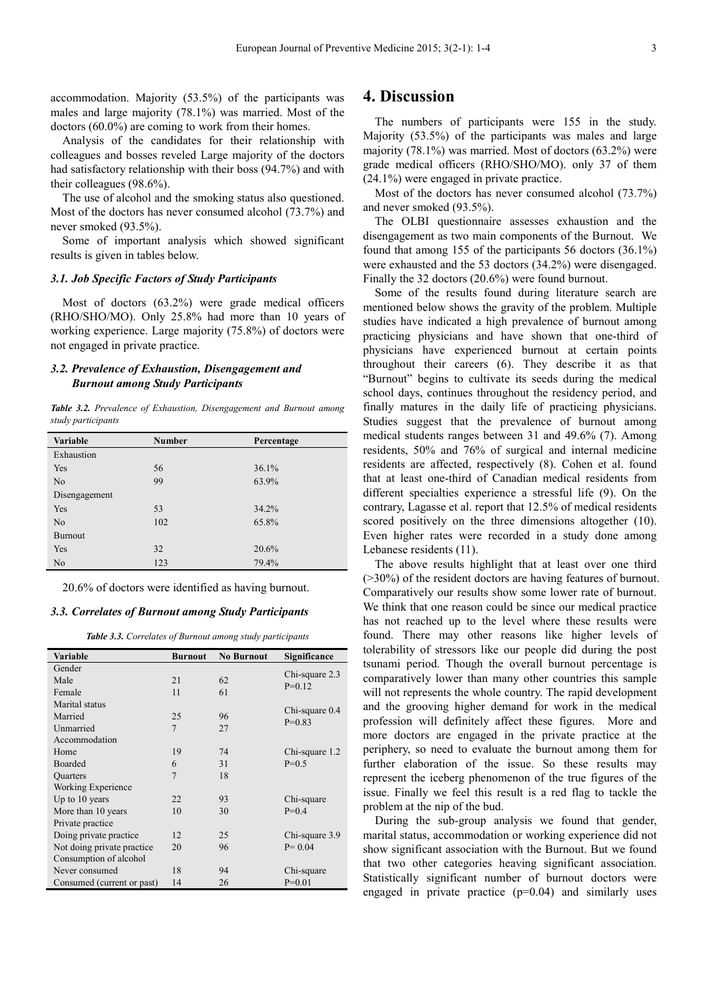accommodation. Majority (53.5%) of the participants was males and large majority (78.1%) was married. Most of the doctors (60.0%) are coming to work from their homes.

Analysis of the candidates for their relationship with colleagues and bosses reveled Large majority of the doctors had satisfactory relationship with their boss (94.7%) and with their colleagues (98.6%).

The use of alcohol and the smoking status also questioned. Most of the doctors has never consumed alcohol (73.7%) and never smoked (93.5%).

Some of important analysis which showed significant results is given in tables below.

#### *3.1. Job Specific Factors of Study Participants*

Most of doctors (63.2%) were grade medical officers (RHO/SHO/MO). Only 25.8% had more than 10 years of working experience. Large majority (75.8%) of doctors were not engaged in private practice.

#### *3.2. Prevalence of Exhaustion, Disengagement and Burnout among Study Participants*

*Table 3.2. Prevalence of Exhaustion, Disengagement and Burnout among study participants* 

| <b>Variable</b> | <b>Number</b> | Percentage |
|-----------------|---------------|------------|
| Exhaustion      |               |            |
| Yes             | 56            | 36.1%      |
| N <sub>0</sub>  | 99            | 63.9%      |
| Disengagement   |               |            |
| Yes             | 53            | 34.2%      |
| No              | 102           | 65.8%      |
| <b>Burnout</b>  |               |            |
| Yes             | 32            | 20.6%      |
| No              | 123           | 79.4%      |

20.6% of doctors were identified as having burnout.

#### *3.3. Correlates of Burnout among Study Participants*

*Table 3.3. Correlates of Burnout among study participants* 

| Variable                    | <b>Burnout</b> | <b>No Burnout</b> | Significance               |
|-----------------------------|----------------|-------------------|----------------------------|
| Gender                      |                |                   |                            |
| Male                        | 21             | 62                | Chi-square 2.3<br>$P=0.12$ |
| Female                      | 11             | 61                |                            |
| Marital status              |                |                   |                            |
| Married                     | 25             | 96                | Chi-square 0.4             |
| Unmarried                   | $\overline{7}$ | 27                | $P=0.83$                   |
| Accommodation               |                |                   |                            |
| Home                        | 19             | 74                | Chi-square 1.2             |
| <b>Boarded</b>              | 6              | 31                | $P=0.5$                    |
| <b>Quarters</b>             | $\overline{7}$ | 18                |                            |
| Working Experience          |                |                   |                            |
| Up to 10 years              | 22             | 93                | Chi-square                 |
| More than 10 years          | 10             | 30                | $P=0.4$                    |
| Private practice            |                |                   |                            |
| Doing private practice      | 12.            | 25                | Chi-square 3.9             |
| Not doing private practice. | 20             | 96                | $P = 0.04$                 |
| Consumption of alcohol      |                |                   |                            |
| Never consumed              | 18             | 94                | Chi-square                 |
| Consumed (current or past)  | 14             | 26                | $P=0.01$                   |

# **4. Discussion**

The numbers of participants were 155 in the study. Majority (53.5%) of the participants was males and large majority (78.1%) was married. Most of doctors (63.2%) were grade medical officers (RHO/SHO/MO). only 37 of them (24.1%) were engaged in private practice.

Most of the doctors has never consumed alcohol (73.7%) and never smoked (93.5%).

The OLBI questionnaire assesses exhaustion and the disengagement as two main components of the Burnout. We found that among 155 of the participants 56 doctors (36.1%) were exhausted and the 53 doctors (34.2%) were disengaged. Finally the 32 doctors (20.6%) were found burnout.

Some of the results found during literature search are mentioned below shows the gravity of the problem. Multiple studies have indicated a high prevalence of burnout among practicing physicians and have shown that one-third of physicians have experienced burnout at certain points throughout their careers (6). They describe it as that "Burnout" begins to cultivate its seeds during the medical school days, continues throughout the residency period, and finally matures in the daily life of practicing physicians. Studies suggest that the prevalence of burnout among medical students ranges between 31 and 49.6% (7). Among residents, 50% and 76% of surgical and internal medicine residents are affected, respectively (8). Cohen et al. found that at least one-third of Canadian medical residents from different specialties experience a stressful life (9). On the contrary, Lagasse et al. report that 12.5% of medical residents scored positively on the three dimensions altogether (10). Even higher rates were recorded in a study done among Lebanese residents (11).

The above results highlight that at least over one third (>30%) of the resident doctors are having features of burnout. Comparatively our results show some lower rate of burnout. We think that one reason could be since our medical practice has not reached up to the level where these results were found. There may other reasons like higher levels of tolerability of stressors like our people did during the post tsunami period. Though the overall burnout percentage is comparatively lower than many other countries this sample will not represents the whole country. The rapid development and the grooving higher demand for work in the medical profession will definitely affect these figures. More and more doctors are engaged in the private practice at the periphery, so need to evaluate the burnout among them for further elaboration of the issue. So these results may represent the iceberg phenomenon of the true figures of the issue. Finally we feel this result is a red flag to tackle the problem at the nip of the bud.

During the sub-group analysis we found that gender, marital status, accommodation or working experience did not show significant association with the Burnout. But we found that two other categories heaving significant association. Statistically significant number of burnout doctors were engaged in private practice  $(p=0.04)$  and similarly uses